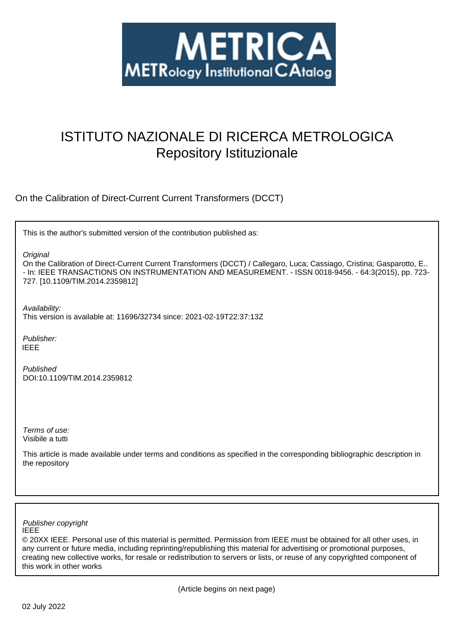

# ISTITUTO NAZIONALE DI RICERCA METROLOGICA Repository Istituzionale

On the Calibration of Direct-Current Current Transformers (DCCT)

This is the author's submitted version of the contribution published as:

**Original** 

On the Calibration of Direct-Current Current Transformers (DCCT) / Callegaro, Luca; Cassiago, Cristina; Gasparotto, E.. - In: IEEE TRANSACTIONS ON INSTRUMENTATION AND MEASUREMENT. - ISSN 0018-9456. - 64:3(2015), pp. 723- 727. [10.1109/TIM.2014.2359812]

Availability:

This version is available at: 11696/32734 since: 2021-02-19T22:37:13Z

Publisher: IEEE

Published DOI:10.1109/TIM.2014.2359812

Terms of use: Visibile a tutti

This article is made available under terms and conditions as specified in the corresponding bibliographic description in the repository

IEEE Publisher copyright

© 20XX IEEE. Personal use of this material is permitted. Permission from IEEE must be obtained for all other uses, in any current or future media, including reprinting/republishing this material for advertising or promotional purposes, creating new collective works, for resale or redistribution to servers or lists, or reuse of any copyrighted component of this work in other works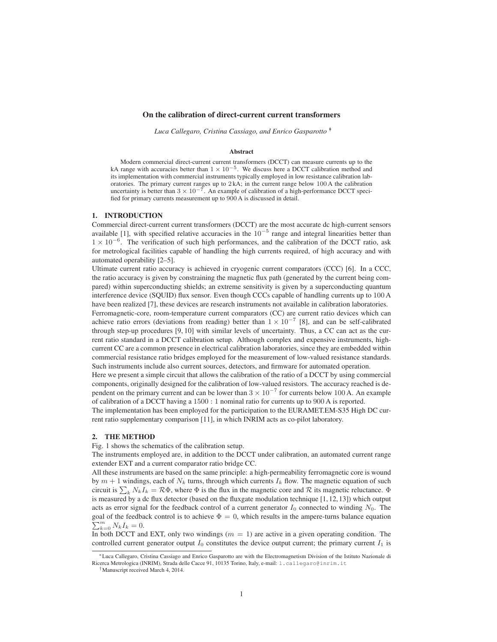### On the calibration of direct-current current transformers

*Luca Callegaro, Cristina Cassiago, and Enrico Gasparotto* ∗†

#### Abstract

Modern commercial direct-current current transformers (DCCT) can measure currents up to the kA range with accuracies better than  $1 \times 10^{-5}$ . We discuss here a DCCT calibration method and its implementation with commercial instruments typically employed in low resistance calibration laboratories. The primary current ranges up to  $2 kA$ ; in the current range below  $100 A$  the calibration uncertainty is better than  $3 \times 10^{-7}$ . An example of calibration of a high-performance DCCT specified for primary currents measurement up to 900 A is discussed in detail.

#### 1. INTRODUCTION

Commercial direct-current current transformers (DCCT) are the most accurate dc high-current sensors available [1], with specified relative accuracies in the  $10^{-5}$  range and integral linearities better than 1 × 10<sup>−</sup><sup>6</sup> . The verification of such high performances, and the calibration of the DCCT ratio, ask for metrological facilities capable of handling the high currents required, of high accuracy and with automated operability [2–5].

Ultimate current ratio accuracy is achieved in cryogenic current comparators (CCC) [6]. In a CCC, the ratio accuracy is given by constraining the magnetic flux path (generated by the current being compared) within superconducting shields; an extreme sensitivity is given by a superconducting quantum interference device (SQUID) flux sensor. Even though CCCs capable of handling currents up to 100 A have been realized [7], these devices are research instruments not available in calibration laboratories.

Ferromagnetic-core, room-temperature current comparators (CC) are current ratio devices which can achieve ratio errors (deviations from reading) better than  $1 \times 10^{-7}$  [8], and can be self-calibrated through step-up procedures [9, 10] with similar levels of uncertainty. Thus, a CC can act as the current ratio standard in a DCCT calibration setup. Although complex and expensive instruments, highcurrent CC are a common presence in electrical calibration laboratories, since they are embedded within commercial resistance ratio bridges employed for the measurement of low-valued resistance standards. Such instruments include also current sources, detectors, and firmware for automated operation.

Here we present a simple circuit that allows the calibration of the ratio of a DCCT by using commercial components, originally designed for the calibration of low-valued resistors. The accuracy reached is dependent on the primary current and can be lower than  $3 \times 10^{-7}$  for currents below 100 A. An example of calibration of a DCCT having a 1500 : 1 nominal ratio for currents up to 900 A is reported.

The implementation has been employed for the participation to the EURAMET.EM-S35 High DC current ratio supplementary comparison [11], in which INRIM acts as co-pilot laboratory.

## 2. THE METHOD

Fig. 1 shows the schematics of the calibration setup.

The instruments employed are, in addition to the DCCT under calibration, an automated current range extender EXT and a current comparator ratio bridge CC.

All these instruments are based on the same principle: a high-permeability ferromagnetic core is wound by  $m + 1$  windings, each of  $N_k$  turns, through which currents  $I_k$  flow. The magnetic equation of such circuit is  $\sum_k N_k I_k = \mathcal{R}\Phi$ , where  $\Phi$  is the flux in the magnetic core and  $\mathcal R$  its magnetic reluctance.  $\Phi$ is measured by a dc flux detector (based on the fluxgate modulation technique [1, 12, 13]) which output acts as error signal for the feedback control of a current generator  $I_0$  connected to winding  $N_0$ . The  $\sum_{k=0}^{m} N_k I_k = 0.$ goal of the feedback control is to achieve  $\Phi = 0$ , which results in the ampere-turns balance equation

In both DCCT and EXT, only two windings  $(m = 1)$  are active in a given operating condition. The controlled current generator output  $I_0$  constitutes the device output current; the primary current  $I_1$  is

<sup>∗</sup>Luca Callegaro, Cristina Cassiago and Enrico Gasparotto are with the Electromagnetism Division of the Istituto Nazionale di Ricerca Metrologica (INRIM), Strada delle Cacce 91, 10135 Torino, Italy, e-mail: l.callegaro@inrim.it

<sup>†</sup>Manuscript received March 4, 2014.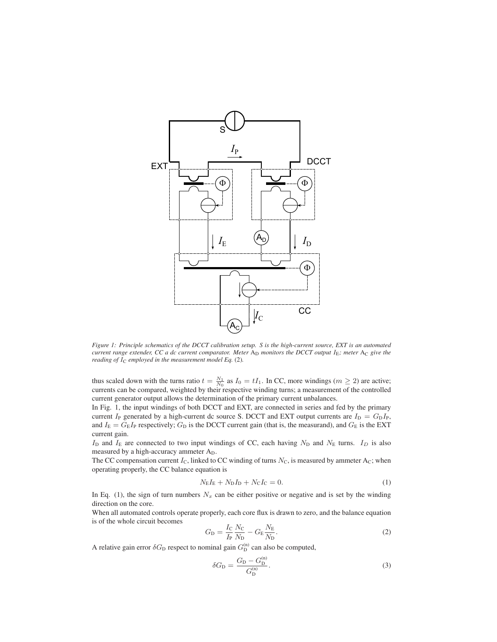

*Figure 1: Principle schematics of the DCCT calibration setup. S is the high-current source, EXT is an automated current range extender, CC a dc current comparator. Meter* A<sub>D</sub> *monitors the DCCT output* I<sub>E</sub>; meter A<sub>C</sub> give the *reading of*  $I_C$  *employed in the measurement model Eq.* (2).

thus scaled down with the turns ratio  $t = \frac{N_1}{N_0}$  as  $I_0 = tI_1$ . In CC, more windings ( $m \ge 2$ ) are active; currents can be compared, weighted by their respective winding turns; a measurement of the controlled current generator output allows the determination of the primary current unbalances.

In Fig. 1, the input windings of both DCCT and EXT, are connected in series and fed by the primary current I<sub>P</sub> generated by a high-current dc source S. DCCT and EXT output currents are  $I_D = G_D I_P$ , and  $I_{\rm E} = G_{\rm E}I_{\rm P}$  respectively;  $G_{\rm D}$  is the DCCT current gain (that is, the measurand), and  $G_{\rm E}$  is the EXT current gain.

 $I_D$  and  $I_E$  are connected to two input windings of CC, each having  $N_D$  and  $N_E$  turns.  $I_D$  is also measured by a high-accuracy ammeter AD.

The CC compensation current  $I_c$ , linked to CC winding of turns  $N_c$ , is measured by ammeter Ac; when operating properly, the CC balance equation is

$$
N_{\rm E}I_{\rm E} + N_{\rm D}I_{\rm D} + N_{\rm C}I_{\rm C} = 0.
$$
 (1)

In Eq. (1), the sign of turn numbers  $N_x$  can be either positive or negative and is set by the winding direction on the core.

When all automated controls operate properly, each core flux is drawn to zero, and the balance equation is of the whole circuit becomes

$$
G_{\rm D} = \frac{I_{\rm C}}{I_{\rm P}} \frac{N_{\rm C}}{N_{\rm D}} - G_{\rm E} \frac{N_{\rm E}}{N_{\rm D}}.
$$
 (2)

A relative gain error  $\delta G_{\rm D}$  respect to nominal gain  $G_{\rm D}^{(\rm n)}$  can also be computed,

$$
\delta G_{\rm D} = \frac{G_{\rm D} - G_{\rm D}^{(\rm n)}}{G_{\rm D}^{(\rm n)}}.
$$
\n(3)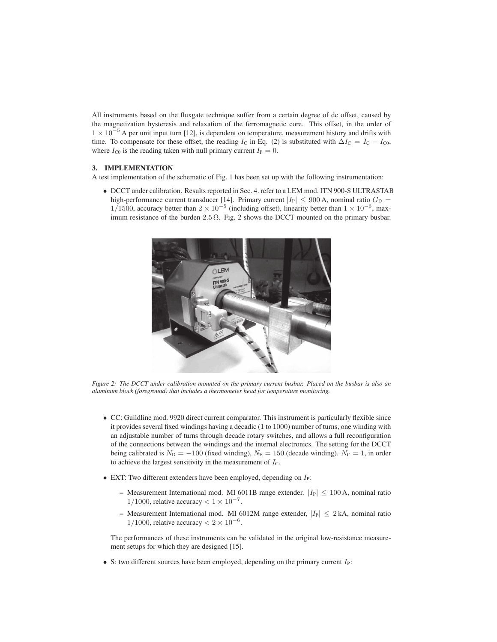All instruments based on the fluxgate technique suffer from a certain degree of dc offset, caused by the magnetization hysteresis and relaxation of the ferromagnetic core. This offset, in the order of  $1 \times 10^{-5}$  A per unit input turn [12], is dependent on temperature, measurement history and drifts with time. To compensate for these offset, the reading  $I_c$  in Eq. (2) is substituted with  $\Delta I_c = I_c - I_{C0}$ , where  $I_{\text{C}0}$  is the reading taken with null primary current  $I_{\text{P}} = 0$ .

# 3. IMPLEMENTATION

A test implementation of the schematic of Fig. 1 has been set up with the following instrumentation:

• DCCT under calibration. Results reported in Sec. 4. refer to a LEM mod. ITN 900-S ULTRASTAB high-performance current transducer [14]. Primary current  $|I_P| \le 900$  A, nominal ratio  $G_D$  = 1/1500, accuracy better than  $2 \times 10^{-5}$  (including offset), linearity better than  $1 \times 10^{-6}$ , maximum resistance of the burden 2.5  $\Omega$ . Fig. 2 shows the DCCT mounted on the primary busbar.



*Figure 2: The DCCT under calibration mounted on the primary current busbar. Placed on the busbar is also an aluminum block (foreground) that includes a thermometer head for temperature monitoring.*

- CC: Guildline mod. 9920 direct current comparator. This instrument is particularly flexible since it provides several fixed windings having a decadic (1 to 1000) number of turns, one winding with an adjustable number of turns through decade rotary switches, and allows a full reconfiguration of the connections between the windings and the internal electronics. The setting for the DCCT being calibrated is  $N_D = -100$  (fixed winding),  $N_E = 150$  (decade winding).  $N_C = 1$ , in order to achieve the largest sensitivity in the measurement of  $I_{\rm C}$ .
- EXT: Two different extenders have been employed, depending on  $I<sub>P</sub>$ :
	- Measurement International mod. MI 6011B range extender.  $|I_P| \le 100$  A, nominal ratio 1/1000, relative accuracy  $< 1 \times 10^{-7}$ .
	- Measurement International mod. MI 6012M range extender,  $|I_P| \leq 2$  kA, nominal ratio 1/1000, relative accuracy  $< 2 \times 10^{-6}$ .

The performances of these instruments can be validated in the original low-resistance measurement setups for which they are designed [15].

• S: two different sources have been employed, depending on the primary current  $I_P$ :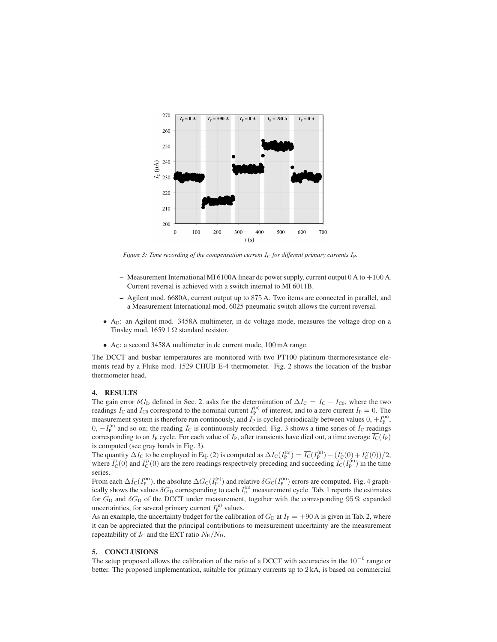

*Figure 3: Time recording of the compensation current*  $I_C$  *for different primary currents*  $I_P$ *.* 

- Measurement International MI 6100A linear dc power supply, current output 0 A to +100 A. Current reversal is achieved with a switch internal to MI 6011B.
- Agilent mod. 6680A, current output up to 875 A. Two items are connected in parallel, and a Measurement International mod. 6025 pneumatic switch allows the current reversal.
- A<sub>D</sub>: an Agilent mod. 3458A multimeter, in dc voltage mode, measures the voltage drop on a Tinsley mod. 1659 1  $\Omega$  standard resistor.
- A<sub>C</sub>: a second 3458A multimeter in dc current mode, 100 mA range.

The DCCT and busbar temperatures are monitored with two PT100 platinum thermoresistance elements read by a Fluke mod. 1529 CHUB E-4 thermometer. Fig. 2 shows the location of the busbar thermometer head.

#### 4. RESULTS

The gain error  $\delta G_{\rm D}$  defined in Sec. 2. asks for the determination of  $\Delta I_{\rm C} = I_{\rm C} - I_{\rm C0}$ , where the two readings  $I_C$  and  $I_{C0}$  correspond to the nominal current  $I_P^{(n)}$  of interest, and to a zero current  $I_P = 0$ . The measurement system is therefore run continously, and  $I_P$  is cycled periodically between values  $0, +I_P^{(n)}$ ,  $0, -I_p^{(n)}$  and so on; the reading  $I_c$  is continuously recorded. Fig. 3 shows a time series of  $I_c$  readings corresponding to an  $I_P$  cycle. For each value of  $I_P$ , after transients have died out, a time average  $\overline{I_C}(I_P)$ is computed (see gray bands in Fig. 3).

The quantity  $\Delta I_C$  to be employed in Eq. (2) is computed as  $\Delta I_C(I_P^{(n)}) = \overline{I_C}(I_P^{(n)}) - (\overline{I_C'}(0) + \overline{I_C''}(0))/2$ , where  $\overline{I'_C}(0)$  and  $\overline{I''_C}(0)$  are the zero readings respectively preceding and succeeding  $\overline{I_C}(I_P^{(n)})$  in the time series.

From each  $\Delta I_{\rm C}(I_{\rm P}^{(\rm n)})$ , the absolute  $\Delta G_{\rm C}(I_{\rm P}^{(\rm n)})$  and relative  $\delta G_{\rm C}(I_{\rm P}^{(\rm n)})$  errors are computed. Fig. 4 graphically shows the values  $\delta G_{\rm D}$  corresponding to each  $I_{\rm P}^{(n)}$  measurement cycle. Tab. 1 reports the estimates for  $G_D$  and  $\delta G_D$  of the DCCT under measurement, together with the corresponding 95 % expanded uncertainties, for several primary current  $I_P^{(n)}$  values.

As an example, the uncertainty budget for the calibration of  $G_D$  at  $I_P = +90$  A is given in Tab. 2, where it can be appreciated that the principal contributions to measurement uncertainty are the measurement repeatability of  $I_c$  and the EXT ratio  $N_E/N_D$ .

# 5. CONCLUSIONS

The setup proposed allows the calibration of the ratio of a DCCT with accuracies in the  $10^{-6}$  range or better. The proposed implementation, suitable for primary currents up to 2 kA, is based on commercial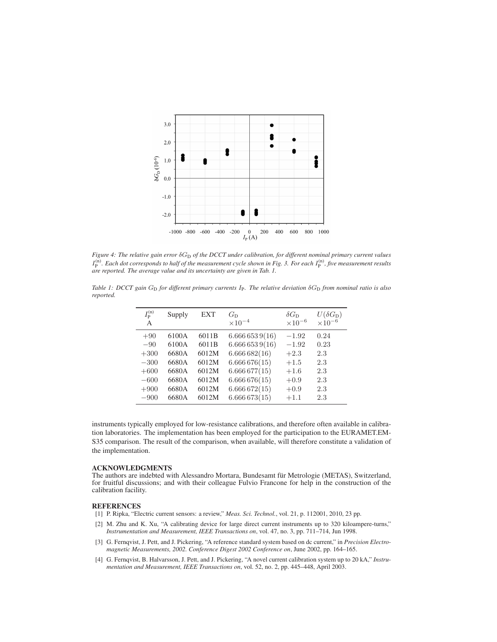

*Figure 4: The relative gain error* δG<sub>D</sub> of the DCCT under calibration, for different nominal primary current values  $I_P^{(n)}$ . Each dot corresponds to half of the measurement cycle shown in Fig. 3. For each  $I_P^{(n)}$ , five measurement results *are reported. The average value and its uncertainty are given in Tab. 1.*

*Table 1: DCCT gain G*<sub>D</sub> *for different primary currents I<sub>P</sub>. The relative deviation* δ*G*<sub>D</sub> *from nominal ratio is also reported.*

| $I_{\rm P}^{\rm (n)}$<br>A | Supply         | EXT            | $G_{D}$<br>$\times 10^{-4}$   | $\delta G_{\rm D}$<br>$\times 10^{-6}$ | $U(\delta G_{\rm D})$<br>$\times 10^{-6}$ |
|----------------------------|----------------|----------------|-------------------------------|----------------------------------------|-------------------------------------------|
| $+90$                      | 6100A          | 6011B          | 6.6666539(16)                 | $-1.92$                                | 0.24                                      |
| $-90$<br>$+300$            | 6100A<br>6680A | 6011B<br>6012M | 6.6666539(16)<br>6.666682(16) | $-1.92$<br>$+2.3$                      | 0.23<br>2.3                               |
| $-300$                     | 6680A          | 6012M          | 6.666676(15)                  | $+1.5$                                 | 2.3                                       |
| $+600$<br>$-600$           | 6680A<br>6680A | 6012M<br>6012M | 6.666677(15)<br>6.666676(15)  | $+1.6$<br>$+0.9$                       | 2.3<br>2.3                                |
| $+900$                     | 6680A          | 6012M          | 6.666672(15)                  | $+0.9$                                 | 2.3                                       |
| $-900$                     | 6680A          | 6012M          | 6.666673(15)                  | $+1.1$                                 | 2.3                                       |

instruments typically employed for low-resistance calibrations, and therefore often available in calibration laboratories. The implementation has been employed for the participation to the EURAMET.EM-S35 comparison. The result of the comparison, when available, will therefore constitute a validation of the implementation.

#### ACKNOWLEDGMENTS

The authors are indebted with Alessandro Mortara, Bundesamt für Metrologie (METAS), Switzerland, for fruitful discussions; and with their colleague Fulvio Francone for help in the construction of the calibration facility.

## **REFERENCES**

- [1] P. Ripka, "Electric current sensors: a review," *Meas. Sci. Technol.*, vol. 21, p. 112001, 2010, 23 pp.
- [2] M. Zhu and K. Xu, "A calibrating device for large direct current instruments up to 320 kiloampere-turns," *Instrumentation and Measurement, IEEE Transactions on*, vol. 47, no. 3, pp. 711–714, Jun 1998.
- [3] G. Fernqvist, J. Pett, and J. Pickering, "A reference standard system based on dc current," in *Precision Electromagnetic Measurements, 2002. Conference Digest 2002 Conference on*, June 2002, pp. 164–165.
- [4] G. Fernqvist, B. Halvarsson, J. Pett, and J. Pickering, "A novel current calibration system up to 20 kA," *Instrumentation and Measurement, IEEE Transactions on*, vol. 52, no. 2, pp. 445–448, April 2003.